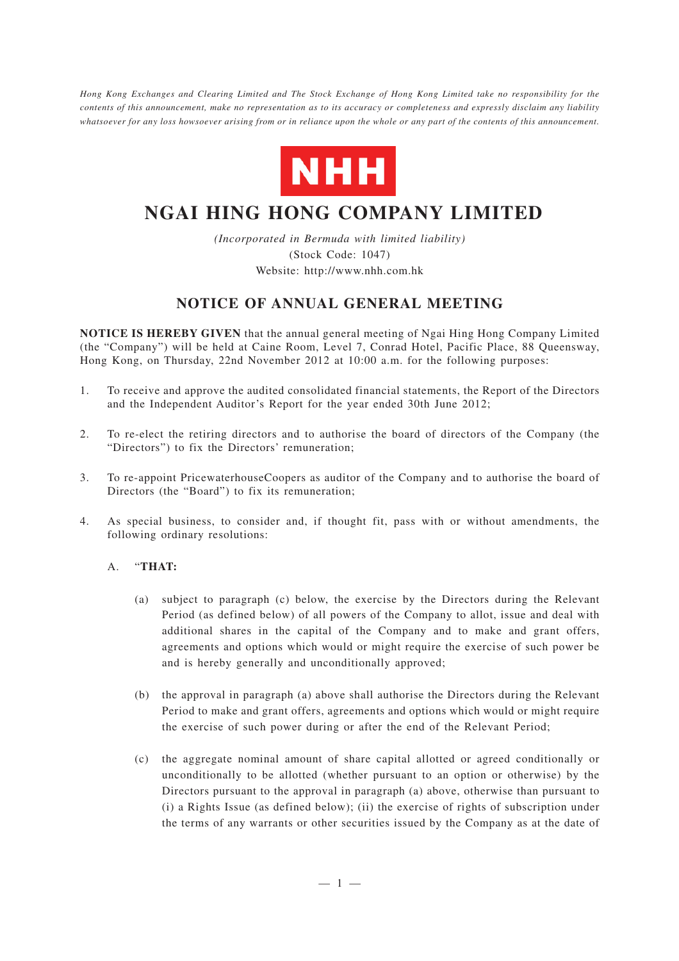*Hong Kong Exchanges and Clearing Limited and The Stock Exchange of Hong Kong Limited take no responsibility for the contents of this announcement, make no representation as to its accuracy or completeness and expressly disclaim any liability whatsoever for any loss howsoever arising from or in reliance upon the whole or any part of the contents of this announcement.*



# **NGAI HING HONG COMPANY LIMITED**

*(Incorporated in Bermuda with limited liability)* (Stock Code: 1047) Website: http://www.nhh.com.hk

# **NOTICE OF ANNUAL GENERAL MEETING**

**NOTICE IS HEREBY GIVEN** that the annual general meeting of Ngai Hing Hong Company Limited (the "Company") will be held at Caine Room, Level 7, Conrad Hotel, Pacific Place, 88 Queensway, Hong Kong, on Thursday, 22nd November 2012 at 10:00 a.m. for the following purposes:

- 1. To receive and approve the audited consolidated financial statements, the Report of the Directors and the Independent Auditor's Report for the year ended 30th June 2012;
- 2. To re-elect the retiring directors and to authorise the board of directors of the Company (the "Directors") to fix the Directors' remuneration;
- 3. To re-appoint PricewaterhouseCoopers as auditor of the Company and to authorise the board of Directors (the "Board") to fix its remuneration;
- 4. As special business, to consider and, if thought fit, pass with or without amendments, the following ordinary resolutions:

# A. "**THAT:**

- (a) subject to paragraph (c) below, the exercise by the Directors during the Relevant Period (as defined below) of all powers of the Company to allot, issue and deal with additional shares in the capital of the Company and to make and grant offers, agreements and options which would or might require the exercise of such power be and is hereby generally and unconditionally approved;
- (b) the approval in paragraph (a) above shall authorise the Directors during the Relevant Period to make and grant offers, agreements and options which would or might require the exercise of such power during or after the end of the Relevant Period;
- (c) the aggregate nominal amount of share capital allotted or agreed conditionally or unconditionally to be allotted (whether pursuant to an option or otherwise) by the Directors pursuant to the approval in paragraph (a) above, otherwise than pursuant to (i) a Rights Issue (as defined below); (ii) the exercise of rights of subscription under the terms of any warrants or other securities issued by the Company as at the date of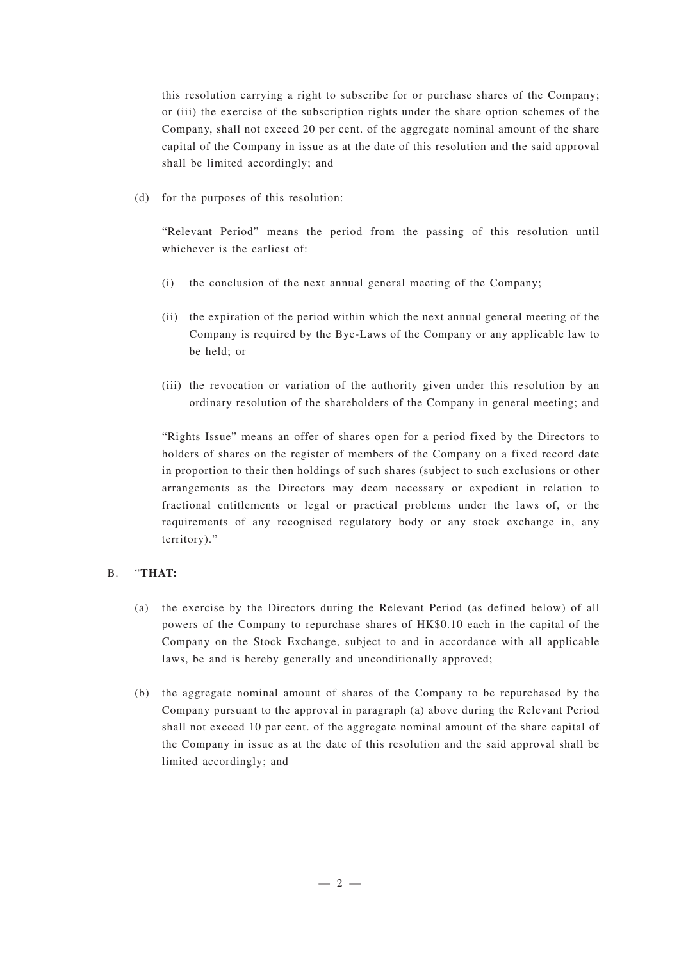this resolution carrying a right to subscribe for or purchase shares of the Company; or (iii) the exercise of the subscription rights under the share option schemes of the Company, shall not exceed 20 per cent. of the aggregate nominal amount of the share capital of the Company in issue as at the date of this resolution and the said approval shall be limited accordingly; and

(d) for the purposes of this resolution:

"Relevant Period" means the period from the passing of this resolution until whichever is the earliest of:

- (i) the conclusion of the next annual general meeting of the Company;
- (ii) the expiration of the period within which the next annual general meeting of the Company is required by the Bye-Laws of the Company or any applicable law to be held; or
- (iii) the revocation or variation of the authority given under this resolution by an ordinary resolution of the shareholders of the Company in general meeting; and

"Rights Issue" means an offer of shares open for a period fixed by the Directors to holders of shares on the register of members of the Company on a fixed record date in proportion to their then holdings of such shares (subject to such exclusions or other arrangements as the Directors may deem necessary or expedient in relation to fractional entitlements or legal or practical problems under the laws of, or the requirements of any recognised regulatory body or any stock exchange in, any territory)."

#### B. "**THAT:**

- (a) the exercise by the Directors during the Relevant Period (as defined below) of all powers of the Company to repurchase shares of HK\$0.10 each in the capital of the Company on the Stock Exchange, subject to and in accordance with all applicable laws, be and is hereby generally and unconditionally approved;
- (b) the aggregate nominal amount of shares of the Company to be repurchased by the Company pursuant to the approval in paragraph (a) above during the Relevant Period shall not exceed 10 per cent. of the aggregate nominal amount of the share capital of the Company in issue as at the date of this resolution and the said approval shall be limited accordingly; and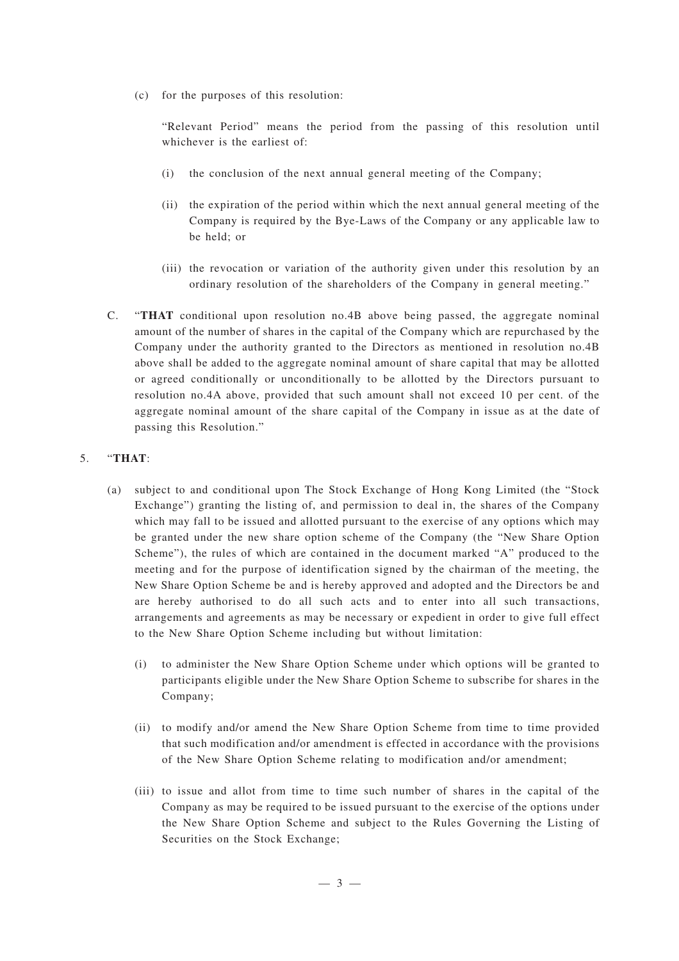(c) for the purposes of this resolution:

"Relevant Period" means the period from the passing of this resolution until whichever is the earliest of:

- (i) the conclusion of the next annual general meeting of the Company;
- (ii) the expiration of the period within which the next annual general meeting of the Company is required by the Bye-Laws of the Company or any applicable law to be held; or
- (iii) the revocation or variation of the authority given under this resolution by an ordinary resolution of the shareholders of the Company in general meeting."
- C. "**THAT** conditional upon resolution no.4B above being passed, the aggregate nominal amount of the number of shares in the capital of the Company which are repurchased by the Company under the authority granted to the Directors as mentioned in resolution no.4B above shall be added to the aggregate nominal amount of share capital that may be allotted or agreed conditionally or unconditionally to be allotted by the Directors pursuant to resolution no.4A above, provided that such amount shall not exceed 10 per cent. of the aggregate nominal amount of the share capital of the Company in issue as at the date of passing this Resolution."

# 5. "**THAT**:

- (a) subject to and conditional upon The Stock Exchange of Hong Kong Limited (the "Stock Exchange") granting the listing of, and permission to deal in, the shares of the Company which may fall to be issued and allotted pursuant to the exercise of any options which may be granted under the new share option scheme of the Company (the "New Share Option Scheme"), the rules of which are contained in the document marked "A" produced to the meeting and for the purpose of identification signed by the chairman of the meeting, the New Share Option Scheme be and is hereby approved and adopted and the Directors be and are hereby authorised to do all such acts and to enter into all such transactions, arrangements and agreements as may be necessary or expedient in order to give full effect to the New Share Option Scheme including but without limitation:
	- (i) to administer the New Share Option Scheme under which options will be granted to participants eligible under the New Share Option Scheme to subscribe for shares in the Company;
	- (ii) to modify and/or amend the New Share Option Scheme from time to time provided that such modification and/or amendment is effected in accordance with the provisions of the New Share Option Scheme relating to modification and/or amendment;
	- (iii) to issue and allot from time to time such number of shares in the capital of the Company as may be required to be issued pursuant to the exercise of the options under the New Share Option Scheme and subject to the Rules Governing the Listing of Securities on the Stock Exchange;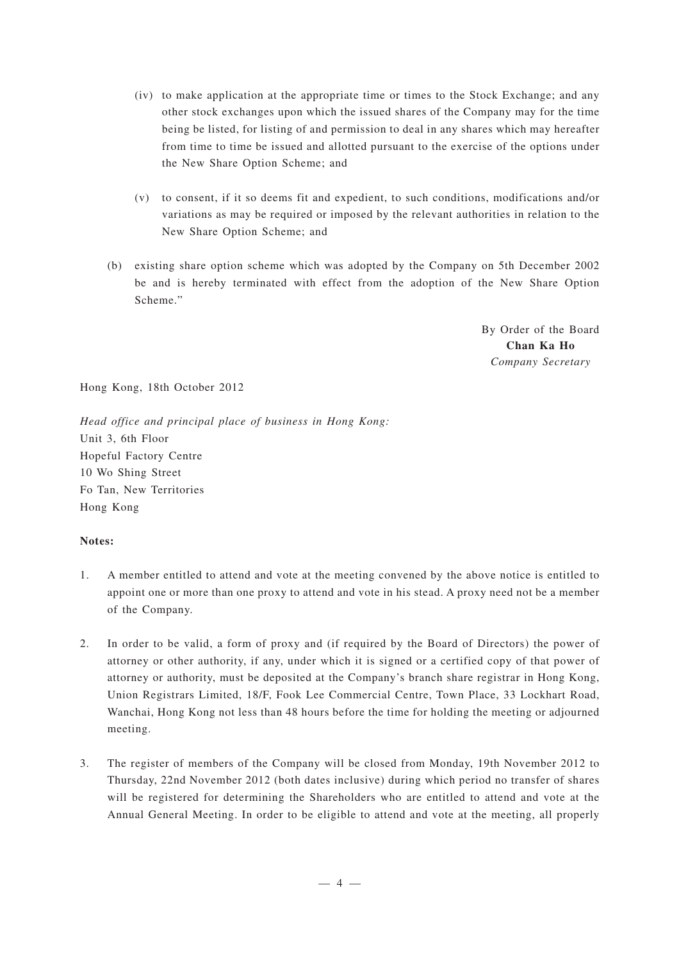- (iv) to make application at the appropriate time or times to the Stock Exchange; and any other stock exchanges upon which the issued shares of the Company may for the time being be listed, for listing of and permission to deal in any shares which may hereafter from time to time be issued and allotted pursuant to the exercise of the options under the New Share Option Scheme; and
- (v) to consent, if it so deems fit and expedient, to such conditions, modifications and/or variations as may be required or imposed by the relevant authorities in relation to the New Share Option Scheme; and
- (b) existing share option scheme which was adopted by the Company on 5th December 2002 be and is hereby terminated with effect from the adoption of the New Share Option Scheme."

By Order of the Board **Chan Ka Ho** *Company Secretary*

Hong Kong, 18th October 2012

*Head office and principal place of business in Hong Kong:* Unit 3, 6th Floor Hopeful Factory Centre 10 Wo Shing Street Fo Tan, New Territories Hong Kong

# **Notes:**

- 1. A member entitled to attend and vote at the meeting convened by the above notice is entitled to appoint one or more than one proxy to attend and vote in his stead. A proxy need not be a member of the Company.
- 2. In order to be valid, a form of proxy and (if required by the Board of Directors) the power of attorney or other authority, if any, under which it is signed or a certified copy of that power of attorney or authority, must be deposited at the Company's branch share registrar in Hong Kong, Union Registrars Limited, 18/F, Fook Lee Commercial Centre, Town Place, 33 Lockhart Road, Wanchai, Hong Kong not less than 48 hours before the time for holding the meeting or adjourned meeting.
- 3. The register of members of the Company will be closed from Monday, 19th November 2012 to Thursday, 22nd November 2012 (both dates inclusive) during which period no transfer of shares will be registered for determining the Shareholders who are entitled to attend and vote at the Annual General Meeting. In order to be eligible to attend and vote at the meeting, all properly